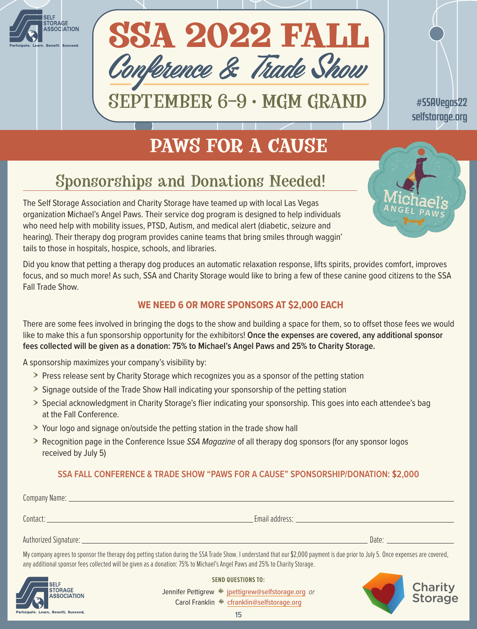



SEPTEMBER 6–9 • MGM GRAND

#SSAVegas22 [selfstorage.org](http://selfstorage.org)

# **PAWS FOR A CAUSE**

# Sponsorships and Donations Needed!

The Self Storage Association and Charity Storage have teamed up with local Las Vegas organization Michael's Angel Paws. Their service dog program is designed to help individuals who need help with mobility issues, PTSD, Autism, and medical alert (diabetic, seizure and hearing). Their therapy dog program provides canine teams that bring smiles through waggin' tails to those in hospitals, hospice, schools, and libraries.

Did you know that petting a therapy dog produces an automatic relaxation response, lifts spirits, provides comfort, improves focus, and so much more! As such, SSA and Charity Storage would like to bring a few of these canine good citizens to the SSA Fall Trade Show.

## **WE NEED 6 OR MORE SPONSORS AT \$2,000 EACH**

There are some fees involved in bringing the dogs to the show and building a space for them, so to offset those fees we would like to make this a fun sponsorship opportunity for the exhibitors! **Once the expenses are covered, any additional sponsor fees collected will be given as a donation: 75% to Michael's Angel Paws and 25% to Charity Storage.** 

A sponsorship maximizes your company's visibility by:

- $\geq$  Press release sent by Charity Storage which recognizes you as a sponsor of the petting station
- **>** Signage outside of the Trade Show Hall indicating your sponsorship of the petting station
- > Special acknowledgment in Charity Storage's flier indicating your sponsorship. This goes into each attendee's bag at the Fall Conference.
- If Your logo and signage on/outside the petting station in the trade show hall
- **I** Recognition page in the Conference Issue *SSA Magazine* of all therapy dog sponsors (for any sponsor logos received by July 5)

## **SSA FALL CONFERENCE & TRADE SHOW "PAWS FOR A CAUSE" SPONSORSHIP/DONATION: \$2,000**

|                                                                                                                                                                                                                                                                                                                | Email address: the contract of the contract of the contract of the contract of the contract of the contract of the contract of the contract of the contract of the contract of the contract of the contract of the contract of |
|----------------------------------------------------------------------------------------------------------------------------------------------------------------------------------------------------------------------------------------------------------------------------------------------------------------|--------------------------------------------------------------------------------------------------------------------------------------------------------------------------------------------------------------------------------|
| Authorized Signature: Authorized Signature:                                                                                                                                                                                                                                                                    | Date: Date:                                                                                                                                                                                                                    |
| My company agrees to sponsor the therapy dog petting station during the SSA Trade Show. I understand that our \$2,000 payment is due prior to July 5. Once expenses are covered,<br>any additional sponsor fees collected will be given as a donation: 75% to Michael's Angel Paws and 25% to Charity Storage. |                                                                                                                                                                                                                                |



**SEND QUESTIONS TO:**

Jennifer Pettigrew  $*$  [jpettigrew@selfstorage.org](mailto:jpettigrew%40selfstorage.org?subject=) or Carol Franklin \* [cfranklin@selfstorage.org](mailto:cfranklin@selfstorage.org)

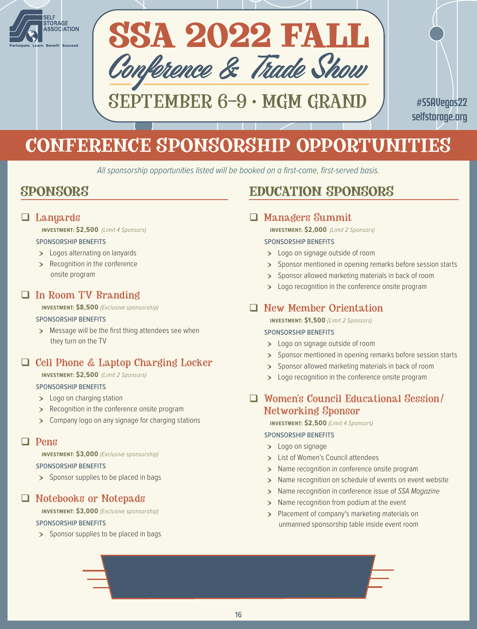



SEPTEMBER 6–9 • MGM GRAND

#SSAVegas22 [selfstorage.org](http://selfstorage.org)

# CONFERENCE SPONSORSHIP OPPORTUNITIES

*All sponsorship opportunities listed will be booked on a first-come, first-served basis.*

## SPONSORS

## $\Box$  Lanyards

**INVESTMENT: \$2,500** *(Limit 4 Sponsors)*

#### SPONSORSHIP BENEFITS

- > Logos alternating on lanyards
- > Recognition in the conference onsite program

## In Room TV Branding

**INVESTMENT: \$8,500** *(Exclusive sponsorship)*

#### SPONSORSHIP BENEFITS

> Message will be the first thing attendees see when they turn on the TV

## $\Box$  Cell Phone & Laptop Charging Locker

**INVESTMENT: \$2,500** *(Limit 2 Sponsors)*

### SPONSORSHIP BENEFITS

- > Logo on charging station
- **ID Recognition in the conference onsite program**
- **>** Company logo on any signage for charging stations

### **Dens**

**INVESTMENT: \$3,000** *(Exclusive sponsorship)*

#### SPONSORSHIP BENEFITS

**Sponsor supplies to be placed in bags** 

## Notebooks or Notepads

**INVESTMENT: \$3,000** *(Exclusive sponsorship)*

### SPONSORSHIP BENEFITS

> Sponsor supplies to be placed in bags

## EDUCATION SPONSORS

## Managers Summit

**INVESTMENT: \$2,000** *(Limit 2 Sponsors)*

### SPONSORSHIP BENEFITS

- > Logo on signage outside of room
- > Sponsor mentioned in opening remarks before session starts
- > Sponsor allowed marketing materials in back of room
- > Logo recognition in the conference onsite program

## New Member Orientation

**INVESTMENT: \$1,500** *(Limit 2 Sponsors)*

### SPONSORSHIP BENEFITS

- > Logo on signage outside of room
- > Sponsor mentioned in opening remarks before session starts
- > Sponsor allowed marketing materials in back of room
- > Logo recognition in the conference onsite program

## Women's Council Educational Session/ Networking Sponsor

**INVESTMENT: \$2,500** *(Limit 4 Sponsors)*

#### SPONSORSHIP BENEFITS

- > Logo on signage
- > List of Women's Council attendees
- > Name recognition in conference onsite program
- > Name recognition on schedule of events on event website
- > Name recognition in conference issue of *SSA Magazine*
- > Name recognition from podium at the event
- > Placement of company's marketing materials on unmanned sponsorship table inside event room

BEYOND YOUR BOOTH